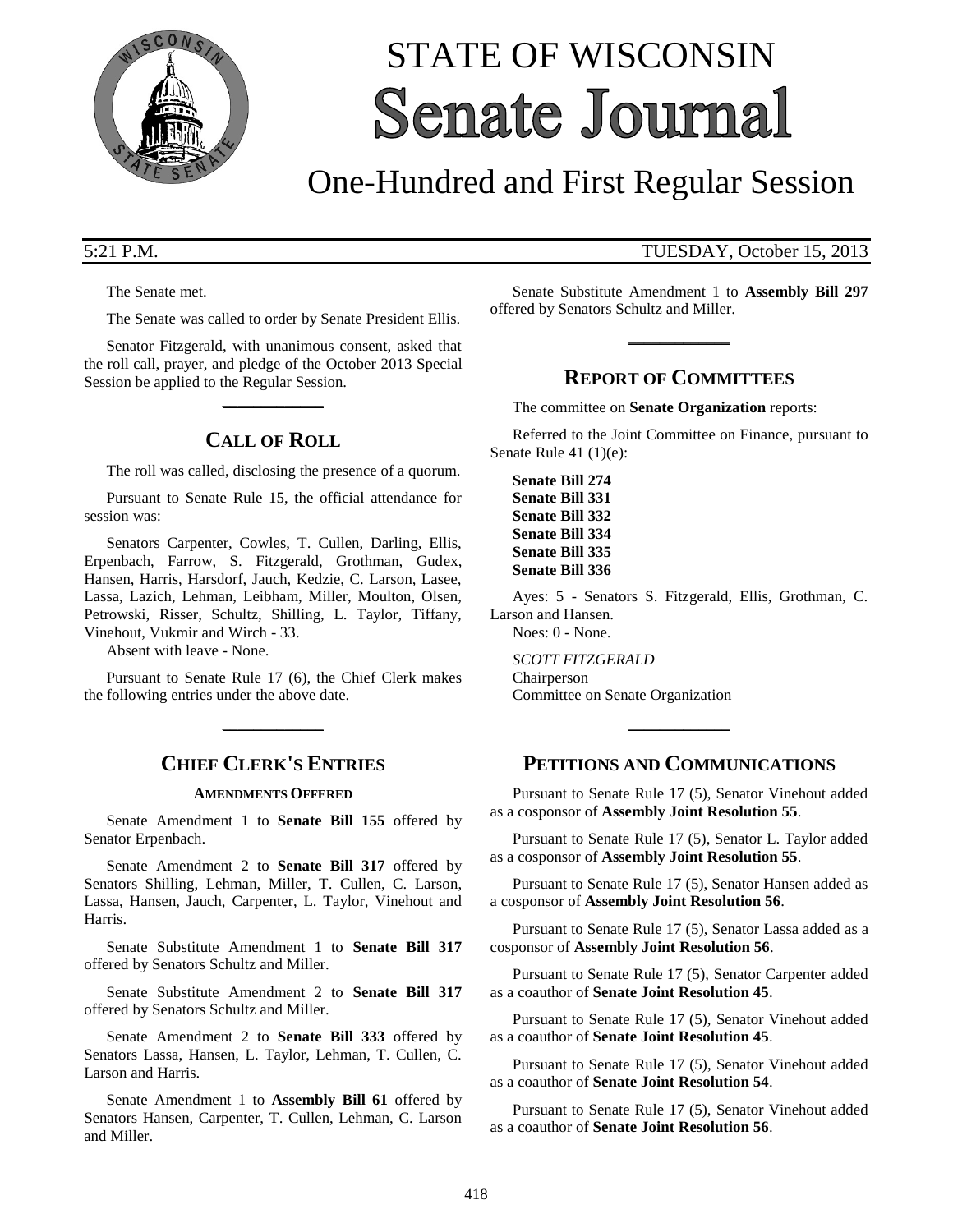

# STATE OF WISCONSIN **Senate Journal**

# One-Hundred and First Regular Session

The Senate met.

The Senate was called to order by Senate President Ellis.

Senator Fitzgerald, with unanimous consent, asked that the roll call, prayer, and pledge of the October 2013 Special Session be applied to the Regular Session.

**\_\_\_\_\_\_\_\_\_\_\_\_\_**

# **CALL OF ROLL**

The roll was called, disclosing the presence of a quorum.

Pursuant to Senate Rule 15, the official attendance for session was:

Senators Carpenter, Cowles, T. Cullen, Darling, Ellis, Erpenbach, Farrow, S. Fitzgerald, Grothman, Gudex, Hansen, Harris, Harsdorf, Jauch, Kedzie, C. Larson, Lasee, Lassa, Lazich, Lehman, Leibham, Miller, Moulton, Olsen, Petrowski, Risser, Schultz, Shilling, L. Taylor, Tiffany, Vinehout, Vukmir and Wirch - 33.

Absent with leave - None.

Pursuant to Senate Rule 17 (6), the Chief Clerk makes the following entries under the above date.

**\_\_\_\_\_\_\_\_\_\_\_\_\_**

# **CHIEF CLERK'S ENTRIES**

#### **AMENDMENTS OFFERED**

Senate Amendment 1 to **Senate Bill 155** offered by Senator Erpenbach.

Senate Amendment 2 to **Senate Bill 317** offered by Senators Shilling, Lehman, Miller, T. Cullen, C. Larson, Lassa, Hansen, Jauch, Carpenter, L. Taylor, Vinehout and Harris.

Senate Substitute Amendment 1 to **Senate Bill 317** offered by Senators Schultz and Miller.

Senate Substitute Amendment 2 to **Senate Bill 317** offered by Senators Schultz and Miller.

Senate Amendment 2 to **Senate Bill 333** offered by Senators Lassa, Hansen, L. Taylor, Lehman, T. Cullen, C. Larson and Harris.

Senate Amendment 1 to **Assembly Bill 61** offered by Senators Hansen, Carpenter, T. Cullen, Lehman, C. Larson and Miller.

### 5:21 P.M. TUESDAY, October 15, 2013

Senate Substitute Amendment 1 to **Assembly Bill 297** offered by Senators Schultz and Miller.

**\_\_\_\_\_\_\_\_\_\_\_\_\_**

# **REPORT OF COMMITTEES**

The committee on **Senate Organization** reports:

Referred to the Joint Committee on Finance, pursuant to Senate Rule 41 (1)(e):

**Senate Bill 274 Senate Bill 331 Senate Bill 332 Senate Bill 334 Senate Bill 335 Senate Bill 336**

Ayes: 5 - Senators S. Fitzgerald, Ellis, Grothman, C. Larson and Hansen. Noes: 0 - None.

*SCOTT FITZGERALD*

Chairperson Committee on Senate Organization

# **PETITIONS AND COMMUNICATIONS**

**\_\_\_\_\_\_\_\_\_\_\_\_\_**

Pursuant to Senate Rule 17 (5), Senator Vinehout added as a cosponsor of **Assembly Joint Resolution 55**.

Pursuant to Senate Rule 17 (5), Senator L. Taylor added as a cosponsor of **Assembly Joint Resolution 55**.

Pursuant to Senate Rule 17 (5), Senator Hansen added as a cosponsor of **Assembly Joint Resolution 56**.

Pursuant to Senate Rule 17 (5), Senator Lassa added as a cosponsor of **Assembly Joint Resolution 56**.

Pursuant to Senate Rule 17 (5), Senator Carpenter added as a coauthor of **Senate Joint Resolution 45**.

Pursuant to Senate Rule 17 (5), Senator Vinehout added as a coauthor of **Senate Joint Resolution 45**.

Pursuant to Senate Rule 17 (5), Senator Vinehout added as a coauthor of **Senate Joint Resolution 54**.

Pursuant to Senate Rule 17 (5), Senator Vinehout added as a coauthor of **Senate Joint Resolution 56**.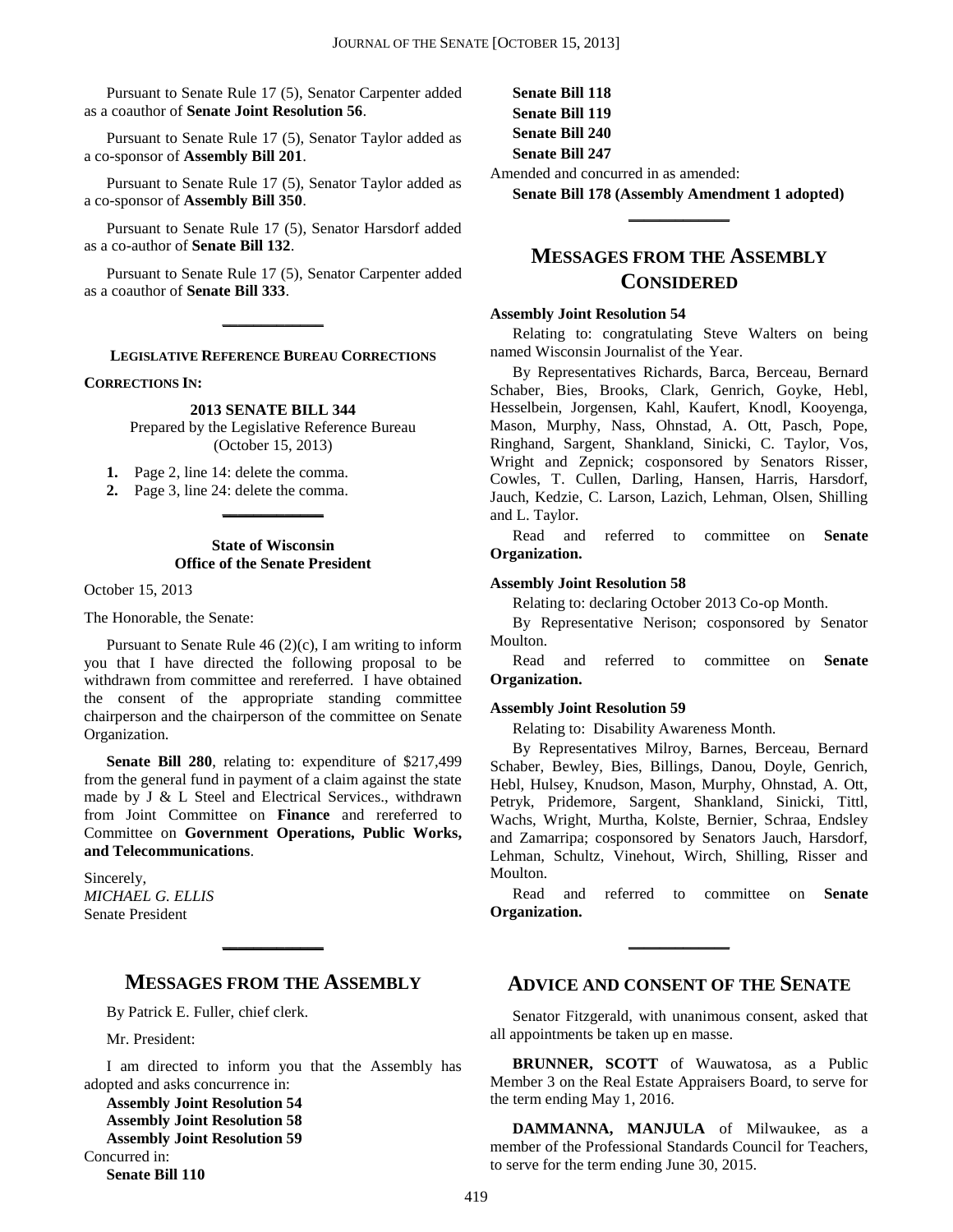Pursuant to Senate Rule 17 (5), Senator Carpenter added as a coauthor of **Senate Joint Resolution 56**.

Pursuant to Senate Rule 17 (5), Senator Taylor added as a co-sponsor of **Assembly Bill 201**.

Pursuant to Senate Rule 17 (5), Senator Taylor added as a co-sponsor of **Assembly Bill 350**.

Pursuant to Senate Rule 17 (5), Senator Harsdorf added as a co-author of **Senate Bill 132**.

Pursuant to Senate Rule 17 (5), Senator Carpenter added as a coauthor of **Senate Bill 333**.

**\_\_\_\_\_\_\_\_\_\_\_\_\_**

**LEGISLATIVE REFERENCE BUREAU CORRECTIONS**

#### **CORRECTIONS IN:**

#### **2013 SENATE BILL 344**

Prepared by the Legislative Reference Bureau (October 15, 2013)

**1.** Page 2, line 14: delete the comma.

**2.** Page 3, line 24: delete the comma.

#### **State of Wisconsin Office of the Senate President**

**\_\_\_\_\_\_\_\_\_\_\_\_\_**

October 15, 2013

The Honorable, the Senate:

Pursuant to Senate Rule  $46 (2)(c)$ , I am writing to inform you that I have directed the following proposal to be withdrawn from committee and rereferred. I have obtained the consent of the appropriate standing committee chairperson and the chairperson of the committee on Senate Organization.

**Senate Bill 280**, relating to: expenditure of \$217,499 from the general fund in payment of a claim against the state made by J & L Steel and Electrical Services., withdrawn from Joint Committee on **Finance** and rereferred to Committee on **Government Operations, Public Works, and Telecommunications**.

Sincerely, *MICHAEL G. ELLIS* Senate President

### **MESSAGES FROM THE ASSEMBLY**

**\_\_\_\_\_\_\_\_\_\_\_\_\_**

By Patrick E. Fuller, chief clerk.

Mr. President:

I am directed to inform you that the Assembly has adopted and asks concurrence in:

**Assembly Joint Resolution 54 Assembly Joint Resolution 58 Assembly Joint Resolution 59** Concurred in: **Senate Bill 110**

**Senate Bill 118 Senate Bill 119 Senate Bill 240 Senate Bill 247**

Amended and concurred in as amended:

**Senate Bill 178 (Assembly Amendment 1 adopted) \_\_\_\_\_\_\_\_\_\_\_\_\_**

# **MESSAGES FROM THE ASSEMBLY CONSIDERED**

#### **Assembly Joint Resolution 54**

Relating to: congratulating Steve Walters on being named Wisconsin Journalist of the Year.

By Representatives Richards, Barca, Berceau, Bernard Schaber, Bies, Brooks, Clark, Genrich, Goyke, Hebl, Hesselbein, Jorgensen, Kahl, Kaufert, Knodl, Kooyenga, Mason, Murphy, Nass, Ohnstad, A. Ott, Pasch, Pope, Ringhand, Sargent, Shankland, Sinicki, C. Taylor, Vos, Wright and Zepnick; cosponsored by Senators Risser, Cowles, T. Cullen, Darling, Hansen, Harris, Harsdorf, Jauch, Kedzie, C. Larson, Lazich, Lehman, Olsen, Shilling and L. Taylor.

Read and referred to committee on **Senate Organization.**

#### **Assembly Joint Resolution 58**

Relating to: declaring October 2013 Co-op Month.

By Representative Nerison; cosponsored by Senator Moulton.

Read and referred to committee on **Senate Organization.**

#### **Assembly Joint Resolution 59**

Relating to: Disability Awareness Month.

By Representatives Milroy, Barnes, Berceau, Bernard Schaber, Bewley, Bies, Billings, Danou, Doyle, Genrich, Hebl, Hulsey, Knudson, Mason, Murphy, Ohnstad, A. Ott, Petryk, Pridemore, Sargent, Shankland, Sinicki, Tittl, Wachs, Wright, Murtha, Kolste, Bernier, Schraa, Endsley and Zamarripa; cosponsored by Senators Jauch, Harsdorf, Lehman, Schultz, Vinehout, Wirch, Shilling, Risser and Moulton.

Read and referred to committee on **Senate Organization.**

**\_\_\_\_\_\_\_\_\_\_\_\_\_**

#### **ADVICE AND CONSENT OF THE SENATE**

Senator Fitzgerald, with unanimous consent, asked that all appointments be taken up en masse.

**BRUNNER, SCOTT** of Wauwatosa, as a Public Member 3 on the Real Estate Appraisers Board, to serve for the term ending May 1, 2016.

**DAMMANNA, MANJULA** of Milwaukee, as a member of the Professional Standards Council for Teachers, to serve for the term ending June 30, 2015.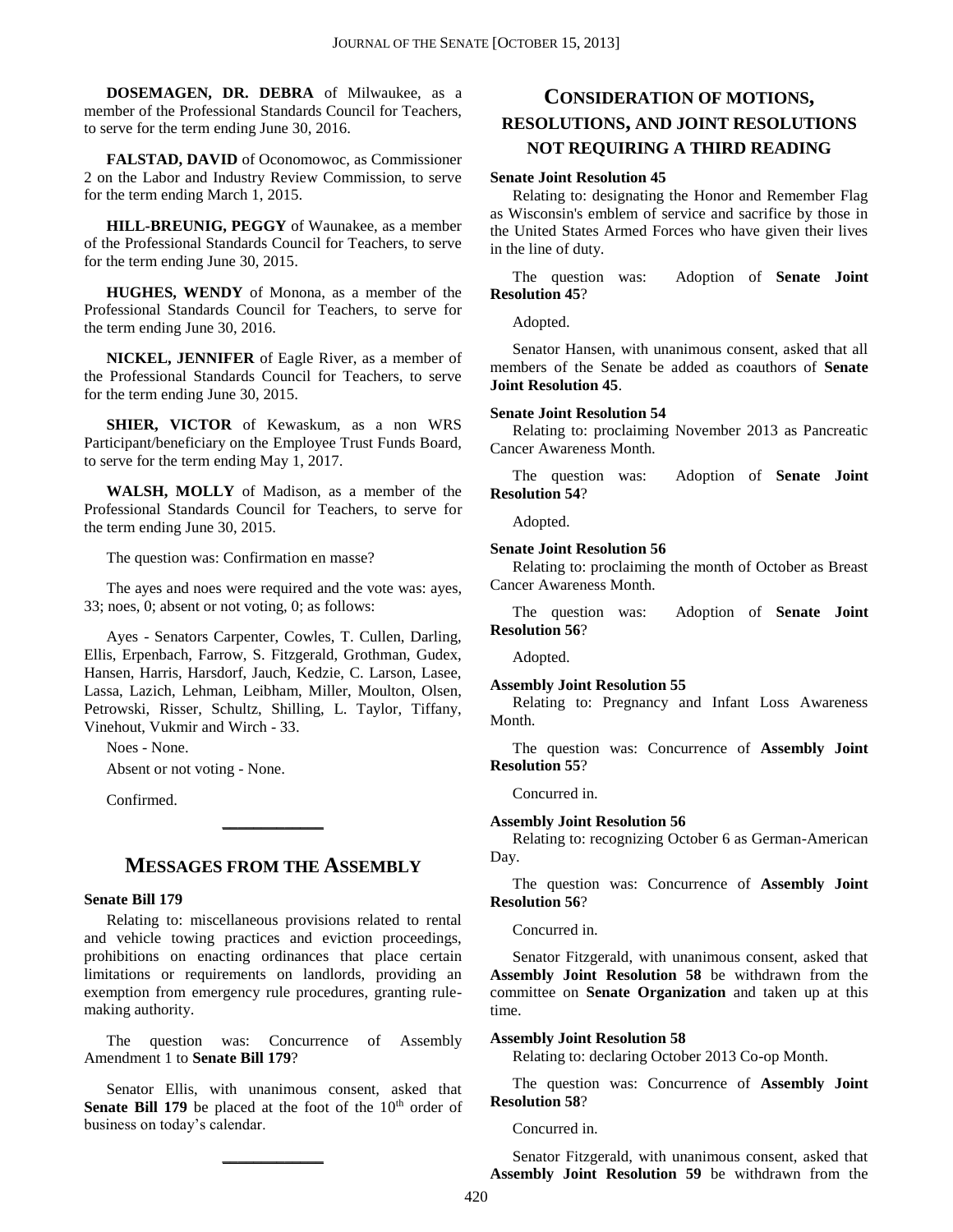**DOSEMAGEN, DR. DEBRA** of Milwaukee, as a member of the Professional Standards Council for Teachers, to serve for the term ending June 30, 2016.

**FALSTAD, DAVID** of Oconomowoc, as Commissioner 2 on the Labor and Industry Review Commission, to serve for the term ending March 1, 2015.

**HILL-BREUNIG, PEGGY** of Waunakee, as a member of the Professional Standards Council for Teachers, to serve for the term ending June 30, 2015.

**HUGHES, WENDY** of Monona, as a member of the Professional Standards Council for Teachers, to serve for the term ending June 30, 2016.

**NICKEL, JENNIFER** of Eagle River, as a member of the Professional Standards Council for Teachers, to serve for the term ending June 30, 2015.

**SHIER, VICTOR** of Kewaskum, as a non WRS Participant/beneficiary on the Employee Trust Funds Board, to serve for the term ending May 1, 2017.

**WALSH, MOLLY** of Madison, as a member of the Professional Standards Council for Teachers, to serve for the term ending June 30, 2015.

The question was: Confirmation en masse?

The ayes and noes were required and the vote was: ayes, 33; noes, 0; absent or not voting, 0; as follows:

Ayes - Senators Carpenter, Cowles, T. Cullen, Darling, Ellis, Erpenbach, Farrow, S. Fitzgerald, Grothman, Gudex, Hansen, Harris, Harsdorf, Jauch, Kedzie, C. Larson, Lasee, Lassa, Lazich, Lehman, Leibham, Miller, Moulton, Olsen, Petrowski, Risser, Schultz, Shilling, L. Taylor, Tiffany, Vinehout, Vukmir and Wirch - 33.

Noes - None.

Absent or not voting - None.

Confirmed.

# **MESSAGES FROM THE ASSEMBLY**

**\_\_\_\_\_\_\_\_\_\_\_\_\_**

#### **Senate Bill 179**

Relating to: miscellaneous provisions related to rental and vehicle towing practices and eviction proceedings, prohibitions on enacting ordinances that place certain limitations or requirements on landlords, providing an exemption from emergency rule procedures, granting rulemaking authority.

The question was: Concurrence of Assembly Amendment 1 to **Senate Bill 179**?

Senator Ellis, with unanimous consent, asked that **Senate Bill 179** be placed at the foot of the 10<sup>th</sup> order of business on today's calendar.

**\_\_\_\_\_\_\_\_\_\_\_\_\_**

# **CONSIDERATION OF MOTIONS, RESOLUTIONS, AND JOINT RESOLUTIONS NOT REQUIRING A THIRD READING**

#### **Senate Joint Resolution 45**

Relating to: designating the Honor and Remember Flag as Wisconsin's emblem of service and sacrifice by those in the United States Armed Forces who have given their lives in the line of duty.

The question was: Adoption of **Senate Joint Resolution 45**?

Adopted.

Senator Hansen, with unanimous consent, asked that all members of the Senate be added as coauthors of **Senate Joint Resolution 45**.

#### **Senate Joint Resolution 54**

Relating to: proclaiming November 2013 as Pancreatic Cancer Awareness Month.

The question was: Adoption of **Senate Joint Resolution 54**?

Adopted.

#### **Senate Joint Resolution 56**

Relating to: proclaiming the month of October as Breast Cancer Awareness Month.

The question was: Adoption of **Senate Joint Resolution 56**?

Adopted.

#### **Assembly Joint Resolution 55**

Relating to: Pregnancy and Infant Loss Awareness Month.

The question was: Concurrence of **Assembly Joint Resolution 55**?

Concurred in.

#### **Assembly Joint Resolution 56**

Relating to: recognizing October 6 as German-American Day.

The question was: Concurrence of **Assembly Joint Resolution 56**?

Concurred in.

Senator Fitzgerald, with unanimous consent, asked that **Assembly Joint Resolution 58** be withdrawn from the committee on **Senate Organization** and taken up at this time.

#### **Assembly Joint Resolution 58**

Relating to: declaring October 2013 Co-op Month.

The question was: Concurrence of **Assembly Joint Resolution 58**?

Concurred in.

Senator Fitzgerald, with unanimous consent, asked that **Assembly Joint Resolution 59** be withdrawn from the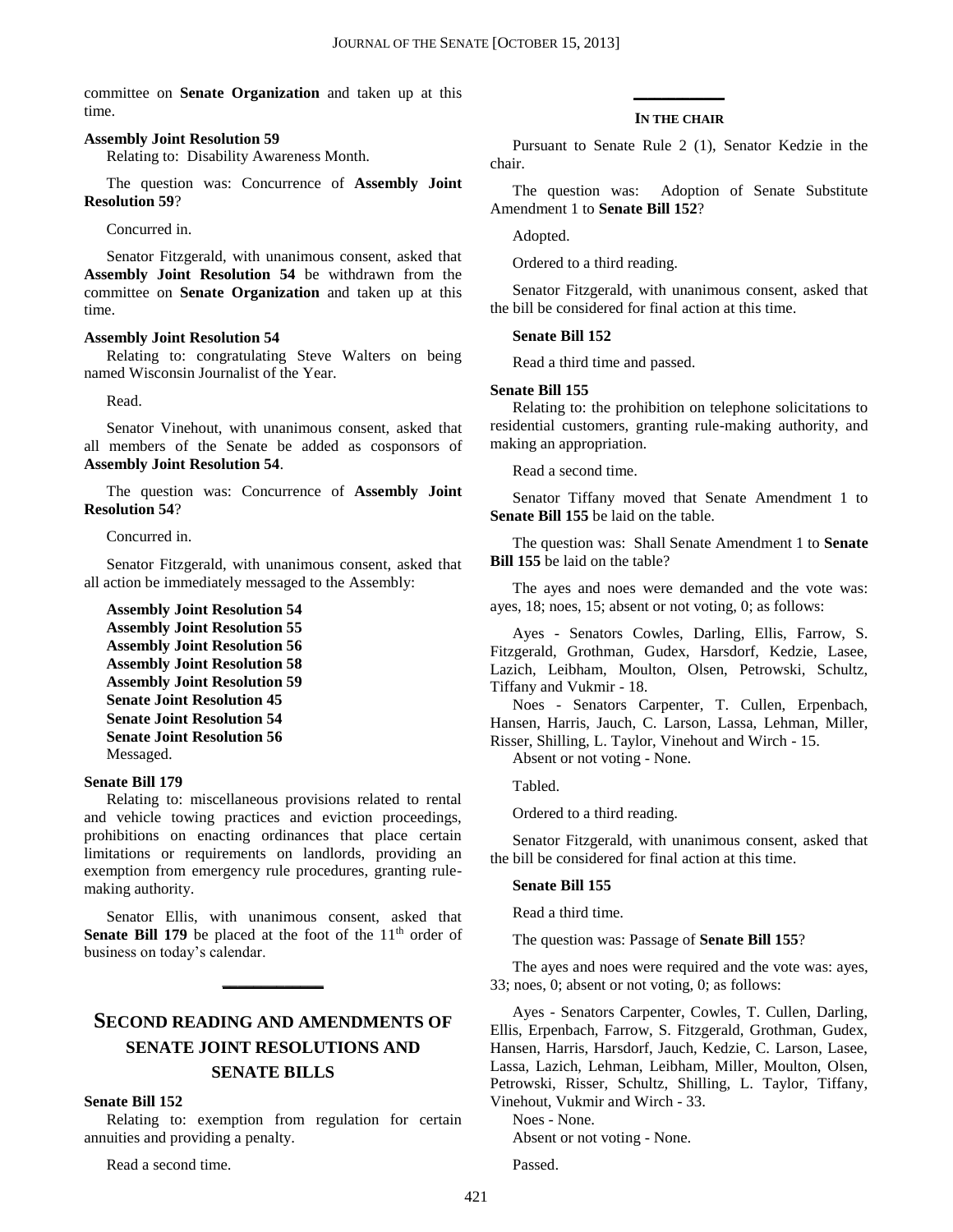committee on **Senate Organization** and taken up at this time.

#### **Assembly Joint Resolution 59**

Relating to: Disability Awareness Month.

The question was: Concurrence of **Assembly Joint Resolution 59**?

Concurred in.

Senator Fitzgerald, with unanimous consent, asked that **Assembly Joint Resolution 54** be withdrawn from the committee on **Senate Organization** and taken up at this time.

#### **Assembly Joint Resolution 54**

Relating to: congratulating Steve Walters on being named Wisconsin Journalist of the Year.

Read.

Senator Vinehout, with unanimous consent, asked that all members of the Senate be added as cosponsors of **Assembly Joint Resolution 54**.

The question was: Concurrence of **Assembly Joint Resolution 54**?

#### Concurred in.

Senator Fitzgerald, with unanimous consent, asked that all action be immediately messaged to the Assembly:

#### **Assembly Joint Resolution 54**

**Assembly Joint Resolution 55 Assembly Joint Resolution 56 Assembly Joint Resolution 58 Assembly Joint Resolution 59 Senate Joint Resolution 45 Senate Joint Resolution 54 Senate Joint Resolution 56** Messaged.

#### **Senate Bill 179**

Relating to: miscellaneous provisions related to rental and vehicle towing practices and eviction proceedings, prohibitions on enacting ordinances that place certain limitations or requirements on landlords, providing an exemption from emergency rule procedures, granting rulemaking authority.

Senator Ellis, with unanimous consent, asked that **Senate Bill 179** be placed at the foot of the 11<sup>th</sup> order of business on today's calendar.

**\_\_\_\_\_\_\_\_\_\_\_\_\_**

# **SECOND READING AND AMENDMENTS OF SENATE JOINT RESOLUTIONS AND SENATE BILLS**

**Senate Bill 152**

Relating to: exemption from regulation for certain annuities and providing a penalty.

Read a second time.

# **\_\_\_\_\_\_\_\_\_\_\_\_\_ IN THE CHAIR**

Pursuant to Senate Rule 2 (1), Senator Kedzie in the chair.

The question was: Adoption of Senate Substitute Amendment 1 to **Senate Bill 152**?

Adopted.

Ordered to a third reading.

Senator Fitzgerald, with unanimous consent, asked that the bill be considered for final action at this time.

#### **Senate Bill 152**

Read a third time and passed.

#### **Senate Bill 155**

Relating to: the prohibition on telephone solicitations to residential customers, granting rule-making authority, and making an appropriation.

Read a second time.

Senator Tiffany moved that Senate Amendment 1 to **Senate Bill 155** be laid on the table.

The question was: Shall Senate Amendment 1 to **Senate Bill 155** be laid on the table?

The ayes and noes were demanded and the vote was: ayes, 18; noes, 15; absent or not voting, 0; as follows:

Ayes - Senators Cowles, Darling, Ellis, Farrow, S. Fitzgerald, Grothman, Gudex, Harsdorf, Kedzie, Lasee, Lazich, Leibham, Moulton, Olsen, Petrowski, Schultz, Tiffany and Vukmir - 18.

Noes - Senators Carpenter, T. Cullen, Erpenbach, Hansen, Harris, Jauch, C. Larson, Lassa, Lehman, Miller, Risser, Shilling, L. Taylor, Vinehout and Wirch - 15.

Absent or not voting - None.

Tabled.

Ordered to a third reading.

Senator Fitzgerald, with unanimous consent, asked that the bill be considered for final action at this time.

#### **Senate Bill 155**

Read a third time.

The question was: Passage of **Senate Bill 155**?

The ayes and noes were required and the vote was: ayes, 33; noes, 0; absent or not voting, 0; as follows:

Ayes - Senators Carpenter, Cowles, T. Cullen, Darling, Ellis, Erpenbach, Farrow, S. Fitzgerald, Grothman, Gudex, Hansen, Harris, Harsdorf, Jauch, Kedzie, C. Larson, Lasee, Lassa, Lazich, Lehman, Leibham, Miller, Moulton, Olsen, Petrowski, Risser, Schultz, Shilling, L. Taylor, Tiffany, Vinehout, Vukmir and Wirch - 33.

Noes - None.

Absent or not voting - None.

Passed.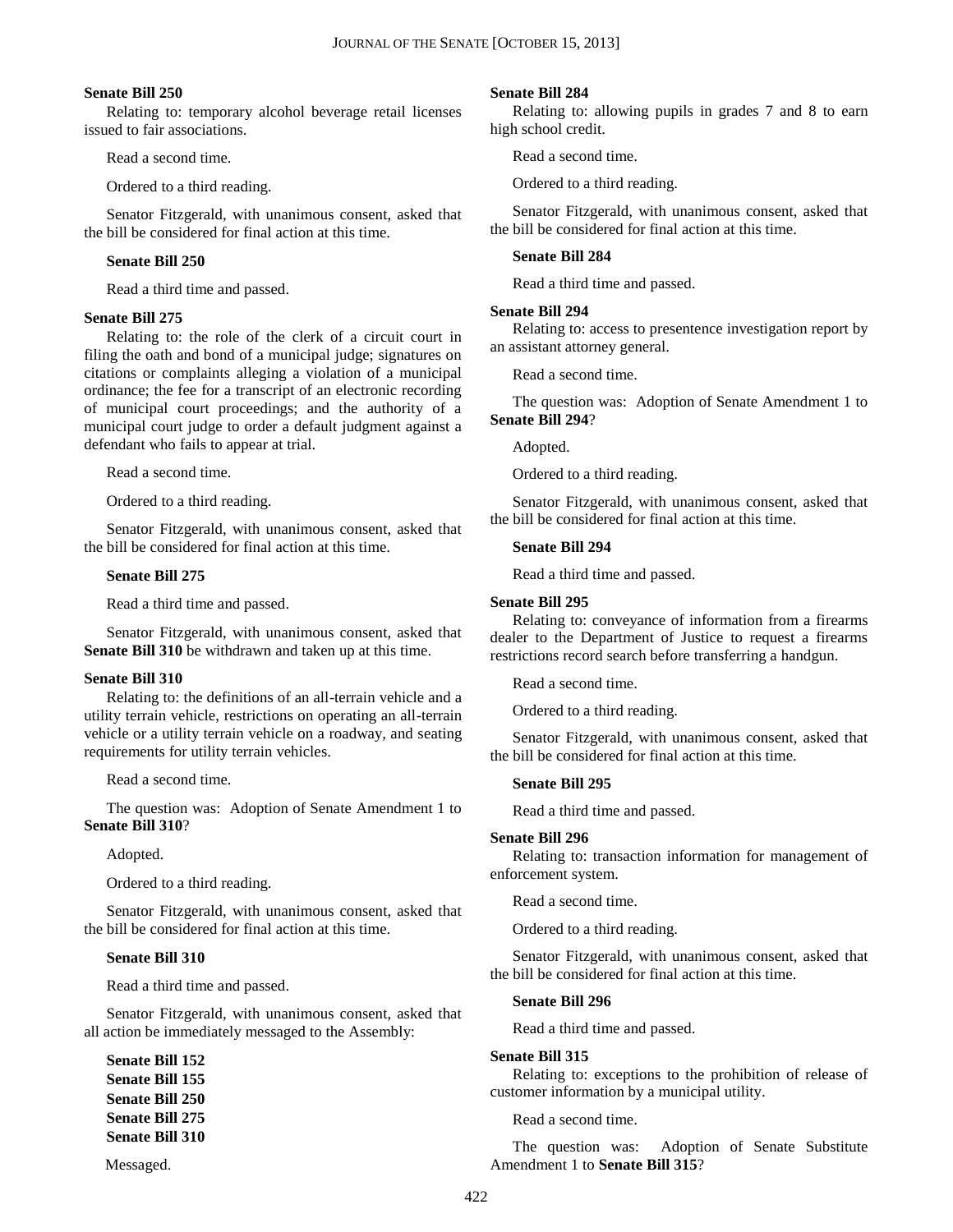#### **Senate Bill 250**

Relating to: temporary alcohol beverage retail licenses issued to fair associations.

Read a second time.

Ordered to a third reading.

Senator Fitzgerald, with unanimous consent, asked that the bill be considered for final action at this time.

#### **Senate Bill 250**

Read a third time and passed.

#### **Senate Bill 275**

Relating to: the role of the clerk of a circuit court in filing the oath and bond of a municipal judge; signatures on citations or complaints alleging a violation of a municipal ordinance; the fee for a transcript of an electronic recording of municipal court proceedings; and the authority of a municipal court judge to order a default judgment against a defendant who fails to appear at trial.

Read a second time.

Ordered to a third reading.

Senator Fitzgerald, with unanimous consent, asked that the bill be considered for final action at this time.

#### **Senate Bill 275**

Read a third time and passed.

Senator Fitzgerald, with unanimous consent, asked that **Senate Bill 310** be withdrawn and taken up at this time.

#### **Senate Bill 310**

Relating to: the definitions of an all-terrain vehicle and a utility terrain vehicle, restrictions on operating an all-terrain vehicle or a utility terrain vehicle on a roadway, and seating requirements for utility terrain vehicles.

Read a second time.

The question was: Adoption of Senate Amendment 1 to **Senate Bill 310**?

#### Adopted.

Ordered to a third reading.

Senator Fitzgerald, with unanimous consent, asked that the bill be considered for final action at this time.

#### **Senate Bill 310**

Read a third time and passed.

Senator Fitzgerald, with unanimous consent, asked that all action be immediately messaged to the Assembly:

**Senate Bill 152 Senate Bill 155 Senate Bill 250 Senate Bill 275 Senate Bill 310**

Messaged.

#### **Senate Bill 284**

Relating to: allowing pupils in grades 7 and 8 to earn high school credit.

Read a second time.

Ordered to a third reading.

Senator Fitzgerald, with unanimous consent, asked that the bill be considered for final action at this time.

#### **Senate Bill 284**

Read a third time and passed.

#### **Senate Bill 294**

Relating to: access to presentence investigation report by an assistant attorney general.

Read a second time.

The question was: Adoption of Senate Amendment 1 to **Senate Bill 294**?

Adopted.

Ordered to a third reading.

Senator Fitzgerald, with unanimous consent, asked that the bill be considered for final action at this time.

#### **Senate Bill 294**

Read a third time and passed.

#### **Senate Bill 295**

Relating to: conveyance of information from a firearms dealer to the Department of Justice to request a firearms restrictions record search before transferring a handgun.

Read a second time.

Ordered to a third reading.

Senator Fitzgerald, with unanimous consent, asked that the bill be considered for final action at this time.

#### **Senate Bill 295**

Read a third time and passed.

#### **Senate Bill 296**

Relating to: transaction information for management of enforcement system.

Read a second time.

Ordered to a third reading.

Senator Fitzgerald, with unanimous consent, asked that the bill be considered for final action at this time.

#### **Senate Bill 296**

Read a third time and passed.

#### **Senate Bill 315**

Relating to: exceptions to the prohibition of release of customer information by a municipal utility.

Read a second time.

The question was: Adoption of Senate Substitute Amendment 1 to **Senate Bill 315**?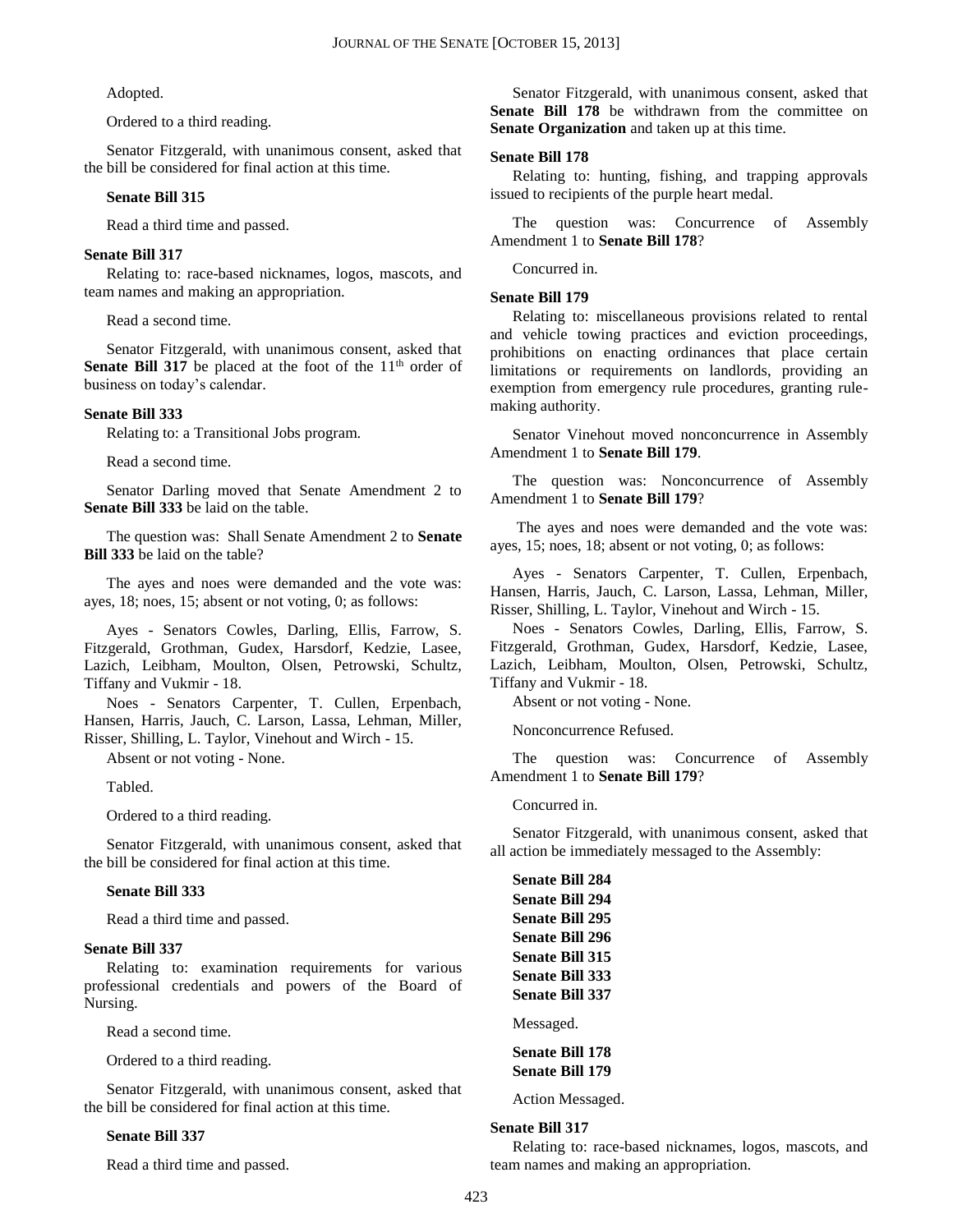Adopted.

Ordered to a third reading.

Senator Fitzgerald, with unanimous consent, asked that the bill be considered for final action at this time.

#### **Senate Bill 315**

Read a third time and passed.

#### **Senate Bill 317**

Relating to: race-based nicknames, logos, mascots, and team names and making an appropriation.

Read a second time.

Senator Fitzgerald, with unanimous consent, asked that **Senate Bill 317** be placed at the foot of the 11<sup>th</sup> order of business on today's calendar.

#### **Senate Bill 333**

Relating to: a Transitional Jobs program.

Read a second time.

Senator Darling moved that Senate Amendment 2 to **Senate Bill 333** be laid on the table.

The question was: Shall Senate Amendment 2 to **Senate Bill 333** be laid on the table?

The ayes and noes were demanded and the vote was: ayes, 18; noes, 15; absent or not voting, 0; as follows:

Ayes - Senators Cowles, Darling, Ellis, Farrow, S. Fitzgerald, Grothman, Gudex, Harsdorf, Kedzie, Lasee, Lazich, Leibham, Moulton, Olsen, Petrowski, Schultz, Tiffany and Vukmir - 18.

Noes - Senators Carpenter, T. Cullen, Erpenbach, Hansen, Harris, Jauch, C. Larson, Lassa, Lehman, Miller, Risser, Shilling, L. Taylor, Vinehout and Wirch - 15.

Absent or not voting - None.

Tabled.

Ordered to a third reading.

Senator Fitzgerald, with unanimous consent, asked that the bill be considered for final action at this time.

#### **Senate Bill 333**

Read a third time and passed.

#### **Senate Bill 337**

Relating to: examination requirements for various professional credentials and powers of the Board of Nursing.

Read a second time.

Ordered to a third reading.

Senator Fitzgerald, with unanimous consent, asked that the bill be considered for final action at this time.

#### **Senate Bill 337**

Read a third time and passed.

Senator Fitzgerald, with unanimous consent, asked that **Senate Bill 178** be withdrawn from the committee on **Senate Organization** and taken up at this time.

#### **Senate Bill 178**

Relating to: hunting, fishing, and trapping approvals issued to recipients of the purple heart medal.

The question was: Concurrence of Assembly Amendment 1 to **Senate Bill 178**?

Concurred in.

#### **Senate Bill 179**

Relating to: miscellaneous provisions related to rental and vehicle towing practices and eviction proceedings, prohibitions on enacting ordinances that place certain limitations or requirements on landlords, providing an exemption from emergency rule procedures, granting rulemaking authority.

Senator Vinehout moved nonconcurrence in Assembly Amendment 1 to **Senate Bill 179**.

The question was: Nonconcurrence of Assembly Amendment 1 to **Senate Bill 179**?

The ayes and noes were demanded and the vote was: ayes, 15; noes, 18; absent or not voting, 0; as follows:

Ayes - Senators Carpenter, T. Cullen, Erpenbach, Hansen, Harris, Jauch, C. Larson, Lassa, Lehman, Miller, Risser, Shilling, L. Taylor, Vinehout and Wirch - 15.

Noes - Senators Cowles, Darling, Ellis, Farrow, S. Fitzgerald, Grothman, Gudex, Harsdorf, Kedzie, Lasee, Lazich, Leibham, Moulton, Olsen, Petrowski, Schultz, Tiffany and Vukmir - 18.

Absent or not voting - None.

Nonconcurrence Refused.

The question was: Concurrence of Assembly Amendment 1 to **Senate Bill 179**?

Concurred in.

Senator Fitzgerald, with unanimous consent, asked that all action be immediately messaged to the Assembly:

**Senate Bill 284 Senate Bill 294 Senate Bill 295 Senate Bill 296 Senate Bill 315 Senate Bill 333 Senate Bill 337**

Messaged.

**Senate Bill 178 Senate Bill 179**

Action Messaged.

#### **Senate Bill 317**

Relating to: race-based nicknames, logos, mascots, and team names and making an appropriation.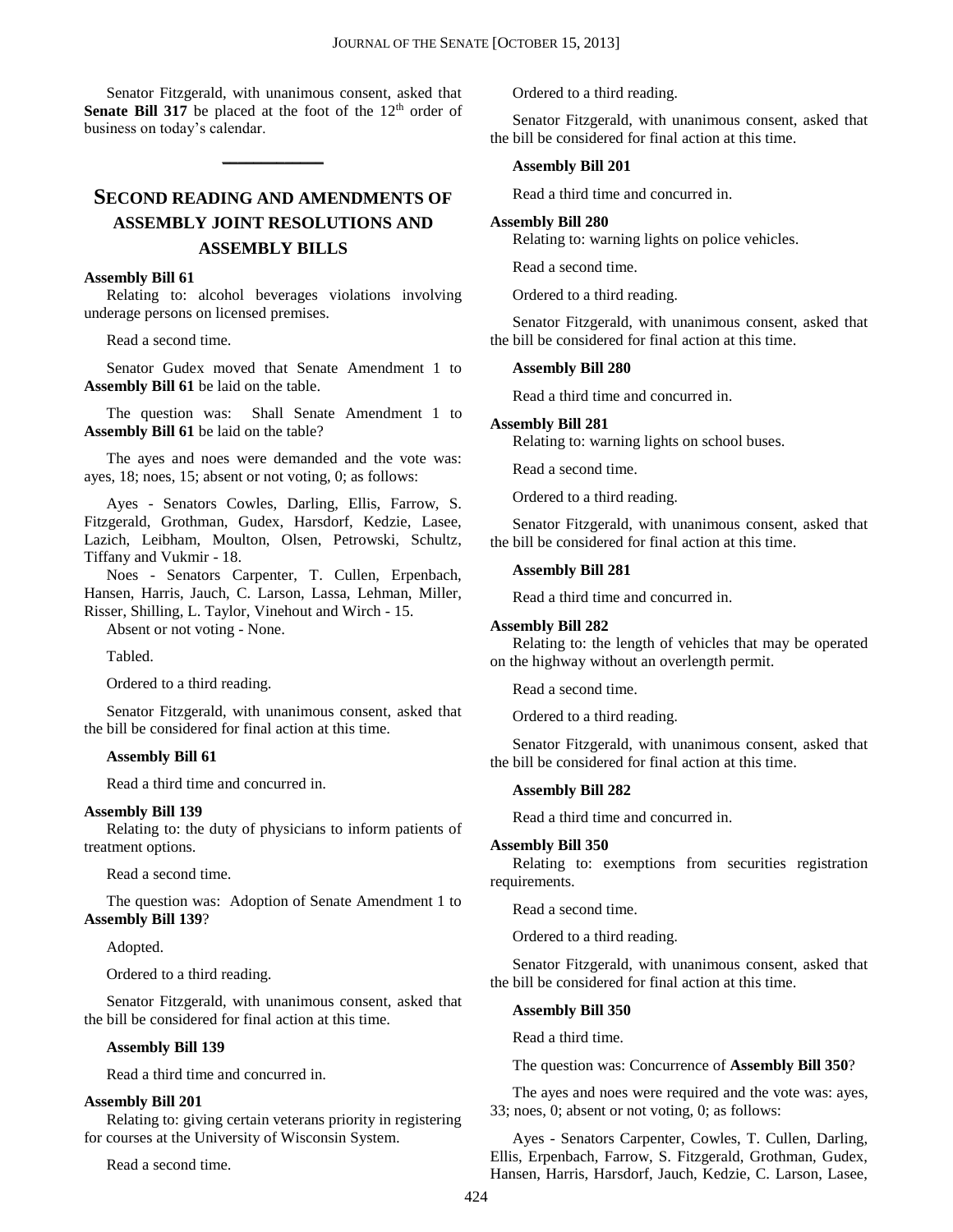Senator Fitzgerald, with unanimous consent, asked that **Senate Bill 317** be placed at the foot of the 12<sup>th</sup> order of business on today's calendar.

**\_\_\_\_\_\_\_\_\_\_\_\_\_**

# **SECOND READING AND AMENDMENTS OF ASSEMBLY JOINT RESOLUTIONS AND ASSEMBLY BILLS**

#### **Assembly Bill 61**

Relating to: alcohol beverages violations involving underage persons on licensed premises.

Read a second time.

Senator Gudex moved that Senate Amendment 1 to **Assembly Bill 61** be laid on the table.

The question was: Shall Senate Amendment 1 to **Assembly Bill 61** be laid on the table?

The ayes and noes were demanded and the vote was: ayes, 18; noes, 15; absent or not voting, 0; as follows:

Ayes - Senators Cowles, Darling, Ellis, Farrow, S. Fitzgerald, Grothman, Gudex, Harsdorf, Kedzie, Lasee, Lazich, Leibham, Moulton, Olsen, Petrowski, Schultz, Tiffany and Vukmir - 18.

Noes - Senators Carpenter, T. Cullen, Erpenbach, Hansen, Harris, Jauch, C. Larson, Lassa, Lehman, Miller, Risser, Shilling, L. Taylor, Vinehout and Wirch - 15.

Absent or not voting - None.

Tabled.

Ordered to a third reading.

Senator Fitzgerald, with unanimous consent, asked that the bill be considered for final action at this time.

#### **Assembly Bill 61**

Read a third time and concurred in.

#### **Assembly Bill 139**

Relating to: the duty of physicians to inform patients of treatment options.

Read a second time.

The question was: Adoption of Senate Amendment 1 to **Assembly Bill 139**?

Adopted.

Ordered to a third reading.

Senator Fitzgerald, with unanimous consent, asked that the bill be considered for final action at this time.

#### **Assembly Bill 139**

Read a third time and concurred in.

#### **Assembly Bill 201**

Relating to: giving certain veterans priority in registering for courses at the University of Wisconsin System.

Read a second time.

Ordered to a third reading.

Senator Fitzgerald, with unanimous consent, asked that the bill be considered for final action at this time.

#### **Assembly Bill 201**

Read a third time and concurred in.

#### **Assembly Bill 280**

Relating to: warning lights on police vehicles.

Read a second time.

Ordered to a third reading.

Senator Fitzgerald, with unanimous consent, asked that the bill be considered for final action at this time.

#### **Assembly Bill 280**

Read a third time and concurred in.

#### **Assembly Bill 281**

Relating to: warning lights on school buses.

Read a second time.

Ordered to a third reading.

Senator Fitzgerald, with unanimous consent, asked that the bill be considered for final action at this time.

#### **Assembly Bill 281**

Read a third time and concurred in.

#### **Assembly Bill 282**

Relating to: the length of vehicles that may be operated on the highway without an overlength permit.

Read a second time.

Ordered to a third reading.

Senator Fitzgerald, with unanimous consent, asked that the bill be considered for final action at this time.

#### **Assembly Bill 282**

Read a third time and concurred in.

#### **Assembly Bill 350**

Relating to: exemptions from securities registration requirements.

Read a second time.

Ordered to a third reading.

Senator Fitzgerald, with unanimous consent, asked that the bill be considered for final action at this time.

#### **Assembly Bill 350**

Read a third time.

The question was: Concurrence of **Assembly Bill 350**?

The ayes and noes were required and the vote was: ayes, 33; noes, 0; absent or not voting, 0; as follows:

Ayes - Senators Carpenter, Cowles, T. Cullen, Darling, Ellis, Erpenbach, Farrow, S. Fitzgerald, Grothman, Gudex, Hansen, Harris, Harsdorf, Jauch, Kedzie, C. Larson, Lasee,